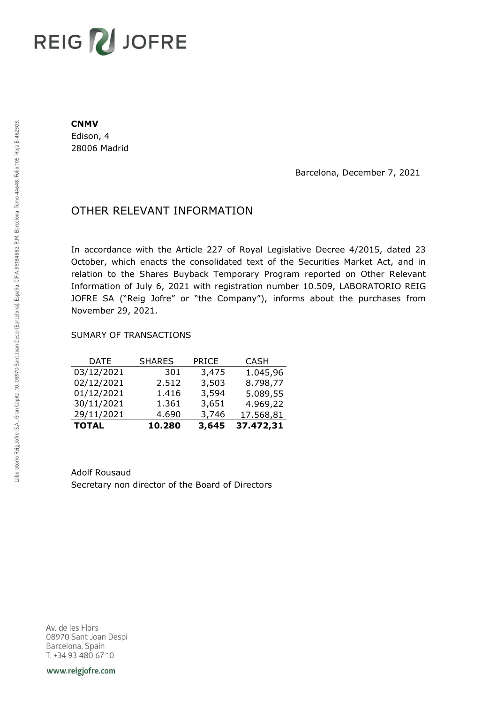# REIG V JOFRE

#### **CNMV**

Edison, 4 28006 Madrid

Barcelona, December 7, 2021

## OTHER RELEVANT INFORMATION

In accordance with the Article 227 of Royal Legislative Decree 4/2015, dated 23 October, which enacts the consolidated text of the Securities Market Act, and in relation to the Shares Buyback Temporary Program reported on Other Relevant Information of July 6, 2021 with registration number 10.509, LABORATORIO REIG JOFRE SA ("Reig Jofre" or "the Company"), informs about the purchases from November 29, 2021.

### SUMARY OF TRANSACTIONS

| <b>TOTAL</b> | 10.280        | 3,645        | 37.472,31   |
|--------------|---------------|--------------|-------------|
| 29/11/2021   | 4.690         | 3,746        | 17.568,81   |
| 30/11/2021   | 1.361         | 3,651        | 4.969,22    |
| 01/12/2021   | 1.416         | 3,594        | 5.089,55    |
| 02/12/2021   | 2.512         | 3,503        | 8.798,77    |
| 03/12/2021   | 301           | 3,475        | 1.045,96    |
| DATE         | <b>SHARES</b> | <b>PRICE</b> | <b>CASH</b> |

Adolf Rousaud Secretary non director of the Board of Directors

Av. de les Flors 08970 Sant Joan Despi Barcelona, Spain T. +34 93 480 67 10

www.reigjofre.com